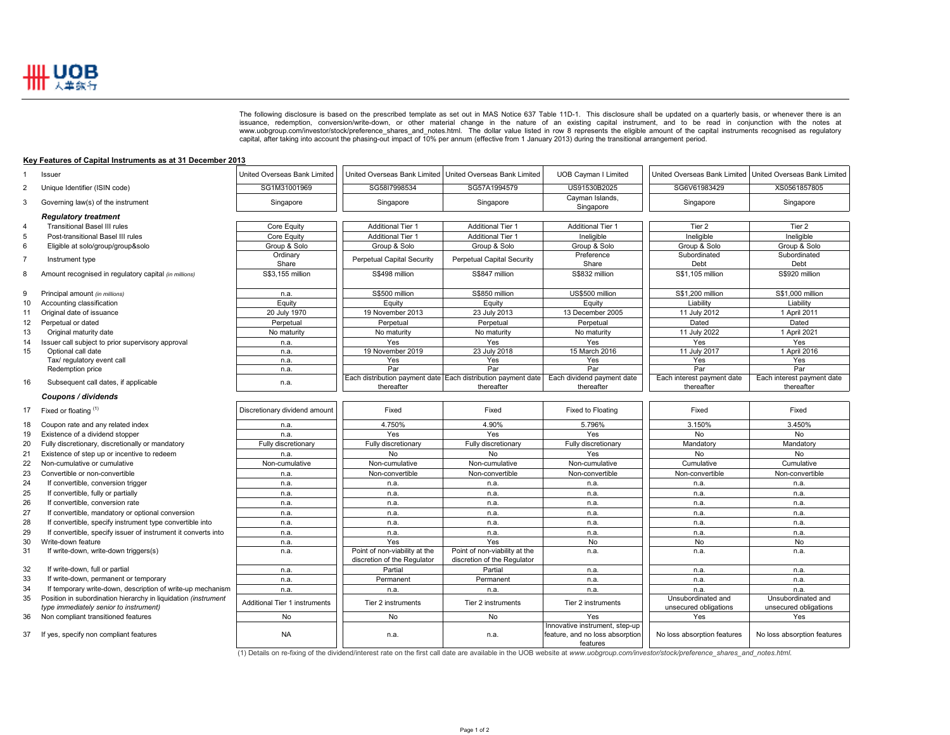

The following disclosure is based on the prescribed template as set out in MAS Notice 637 Table 11D-1. This disclosure shall be updated on a quarterly basis, or whenever there is an issuance, redemption, conversion/write-d issuance, redemption, conversion/write-down, or other material change in the nature of an existing capital instrument, and to be read in conjunction with the notes at<br>www.uobgroup.com/investor/stock/preference\_shares\_and\_n

## **Key Features of Capital Instruments as at 31 December 2013**

| $\mathbf{1}$   | Issuer                                                         | United Overseas Bank Limited  | United Overseas Bank Limited   United Overseas Bank Limited |                                                               | <b>UOB Cayman I Limited</b>                                                   | United Overseas Bank Limited   United Overseas Bank Limited |                             |
|----------------|----------------------------------------------------------------|-------------------------------|-------------------------------------------------------------|---------------------------------------------------------------|-------------------------------------------------------------------------------|-------------------------------------------------------------|-----------------------------|
| $\overline{2}$ | Unique Identifier (ISIN code)                                  | SG1M31001969                  | SG58I7998534                                                | SG57A1994579                                                  | US91530B2025                                                                  | SG6V61983429                                                | XS0561857805                |
| 3              | Governing law(s) of the instrument                             | Singapore                     | Singapore                                                   | Singapore                                                     | Cayman Islands,<br>Singapore                                                  | Singapore                                                   | Singapore                   |
|                | <b>Regulatory treatment</b>                                    |                               |                                                             |                                                               |                                                                               |                                                             |                             |
| $\overline{4}$ | <b>Transitional Basel III rules</b>                            | Core Equity                   | <b>Additional Tier 1</b>                                    | <b>Additional Tier 1</b>                                      | <b>Additional Tier 1</b>                                                      | Tier 2                                                      | Tier 2                      |
| 5              | Post-transitional Basel III rules                              | Core Equity                   | <b>Additional Tier 1</b>                                    | <b>Additional Tier 1</b>                                      | Ineligible                                                                    | Ineligible                                                  | Ineligible                  |
| 6              | Eligible at solo/group/group&solo                              | Group & Solo                  | Group & Solo                                                | Group & Solo                                                  | Group & Solo                                                                  | Group & Solo                                                | Group & Solo                |
|                |                                                                | Ordinary                      |                                                             |                                                               | Preference                                                                    | Subordinated                                                | Subordinated                |
| $\overline{7}$ | Instrument type                                                | Share                         | Perpetual Capital Security                                  | Perpetual Capital Security                                    | Share                                                                         | Debt                                                        | Debt                        |
| 8              | Amount recognised in regulatory capital (in millions)          | S\$3.155 million              | S\$498 million                                              | S\$847 million                                                | S\$832 million                                                                | S\$1.105 million                                            | S\$920 million              |
| 9              | Principal amount (in millions)                                 | n.a.                          | S\$500 million                                              | S\$850 million                                                | US\$500 million                                                               | S\$1,200 million                                            | S\$1,000 million            |
| 10             | Accounting classification                                      | Equity                        | Equity                                                      | Equity                                                        | Equity                                                                        | Liability                                                   | Liability                   |
| 11             | Original date of issuance                                      | 20 July 1970                  | 19 November 2013                                            | 23 July 2013                                                  | 13 December 2005                                                              | 11 July 2012                                                | 1 April 2011                |
| 12             | Perpetual or dated                                             | Perpetual                     | Perpetual                                                   | Perpetual                                                     | Perpetual                                                                     | Dated                                                       | Dated                       |
| 13             | Original maturity date                                         | No maturity                   | No maturity                                                 | No maturity                                                   | No maturity                                                                   | 11 July 2022                                                | 1 April 2021                |
| 14             | Issuer call subject to prior supervisory approval              | n.a.                          | Yes                                                         | Yes                                                           | Yes                                                                           | Yes                                                         | Yes                         |
| 15             | Optional call date                                             | n.a.                          | 19 November 2019                                            | 23 July 2018                                                  | 15 March 2016                                                                 | 11 July 2017                                                | 1 April 2016                |
|                | Tax/ regulatory event call                                     | n.a.                          | Yes                                                         | Yes                                                           | Yes                                                                           | Yes                                                         | Yes                         |
|                | Redemption price                                               | n.a.                          | Par                                                         | Par                                                           | Par                                                                           | Par                                                         | Par                         |
|                |                                                                |                               |                                                             | Each distribution payment date Each distribution payment date | Each dividend payment date                                                    | Each interest payment date                                  | Each interest payment date  |
| 16             | Subsequent call dates, if applicable                           | n.a.                          | thereafter                                                  | thereafter                                                    | thereafter                                                                    | thereafter                                                  | thereafter                  |
|                | Coupons / dividends                                            |                               |                                                             |                                                               |                                                                               |                                                             |                             |
| 17             | Fixed or floating (1)                                          | Discretionary dividend amount | Fixed                                                       | Fixed                                                         | Fixed to Floating                                                             | Fixed                                                       | Fixed                       |
| 18             | Coupon rate and any related index                              | n.a.                          | 4.750%                                                      | 4.90%                                                         | 5.796%                                                                        | 3.150%                                                      | 3.450%                      |
| 19             | Existence of a dividend stopper                                | n.a.                          | Yes                                                         | Yes                                                           | Yes                                                                           | <b>No</b>                                                   | <b>No</b>                   |
| 20             | Fully discretionary, discretionally or mandatory               | Fully discretionary           | Fully discretionary                                         | Fully discretionary                                           | Fully discretionary                                                           | Mandatory                                                   | Mandatory                   |
| 21             | Existence of step up or incentive to redeem                    | n.a.                          | No                                                          | No                                                            | Yes                                                                           | <b>No</b>                                                   | No                          |
| 22             | Non-cumulative or cumulative                                   | Non-cumulative                | Non-cumulative                                              | Non-cumulative                                                | Non-cumulative                                                                | Cumulative                                                  | Cumulative                  |
| 23             | Convertible or non-convertible                                 | n.a.                          | Non-convertible                                             | Non-convertible                                               | Non-convertible                                                               | Non-convertible                                             | Non-convertible             |
| 24             | If convertible, conversion trigger                             | n.a.                          | n.a.                                                        | n.a.                                                          | n.a.                                                                          | n.a.                                                        | n.a.                        |
| 25             | If convertible, fully or partially                             | n.a.                          | n.a.                                                        | n.a.                                                          | n.a.                                                                          | n.a.                                                        | n.a.                        |
| 26             | If convertible, conversion rate                                | n.a.                          | n.a.                                                        | n.a.                                                          | n.a.                                                                          | n.a.                                                        | n.a.                        |
| 27             | If convertible, mandatory or optional conversion               | n.a.                          | n.a.                                                        | n.a.                                                          | n.a.                                                                          | n.a.                                                        | n.a.                        |
| 28             | If convertible, specify instrument type convertible into       | n.a.                          | n.a.                                                        | n.a.                                                          | n.a.                                                                          | n.a.                                                        | n.a.                        |
| 29             | If convertible, specify issuer of instrument it converts into  | n.a.                          | n.a.                                                        | n.a.                                                          | n.a.                                                                          | n.a.                                                        | n.a.                        |
| 30             | Write-down feature                                             | n.a.                          | Yes                                                         | Yes                                                           | No                                                                            | No                                                          | No                          |
| 31             | If write-down, write-down triggers(s)                          | n.a.                          | Point of non-viability at the                               | Point of non-viability at the                                 | n.a.                                                                          | n.a.                                                        | n.a.                        |
|                |                                                                |                               | discretion of the Regulator                                 | discretion of the Regulator                                   |                                                                               |                                                             |                             |
| 32             | If write-down, full or partial                                 | n.a.                          | Partial                                                     | Partial                                                       | n.a.                                                                          | n.a.                                                        | n.a.                        |
| 33             | If write-down, permanent or temporary                          | n.a.                          | Permanent                                                   | Permanent                                                     | n.a.                                                                          | n.a.                                                        | n.a.                        |
| 34             | If temporary write-down, description of write-up mechanism     | n.a.                          | n.a.                                                        | n.a.                                                          | n.a.                                                                          | n.a.                                                        | n.a.                        |
| 35             | Position in subordination hierarchy in liquidation (instrument | Additional Tier 1 instruments | Tier 2 instruments                                          | Tier 2 instruments                                            | Tier 2 instruments                                                            | Unsubordinated and                                          | Unsubordinated and          |
|                | type immediately senior to instrument)                         |                               |                                                             |                                                               |                                                                               | unsecured obligations                                       | unsecured obligations       |
| 36             | Non compliant transitioned features                            | <b>No</b>                     | No                                                          | No                                                            | Yes                                                                           | Yes                                                         | Yes                         |
| 37             | If yes, specify non compliant features                         | <b>NA</b>                     | n.a.                                                        | n.a.                                                          | Innovative instrument, step-up<br>feature, and no loss absorption<br>features | No loss absorption features                                 | No loss absorption features |

(1) Details on re-fixing of the dividend/interest rate on the first call date are available in the UOB website at *www.uobgroup.com/investor/stock/preference\_shares\_and\_notes.html.*